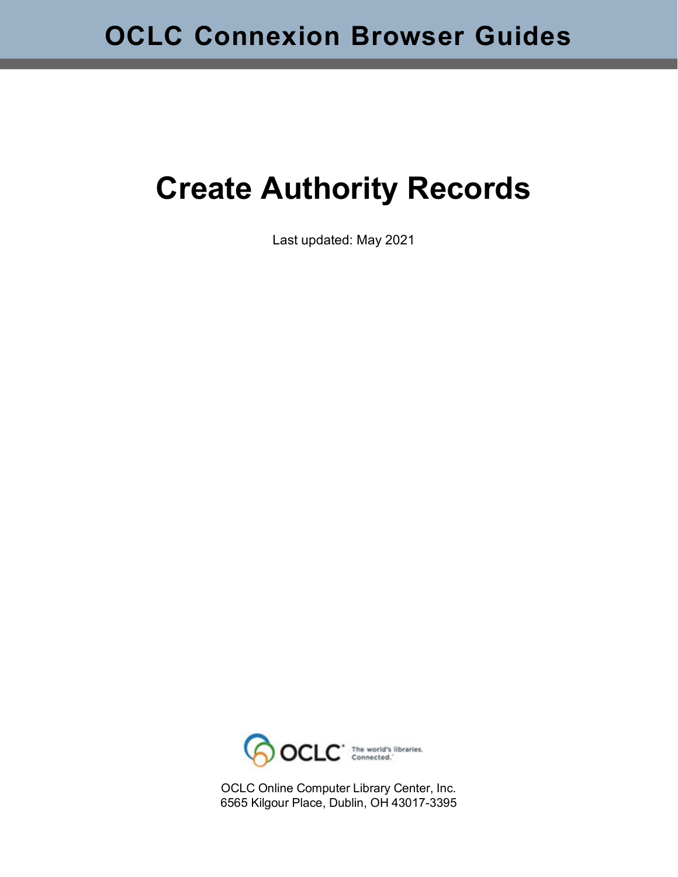# **Create Authority Records**

Last updated: May 2021



OCLC Online Computer Library Center, Inc. 6565 Kilgour Place, Dublin, OH 43017-3395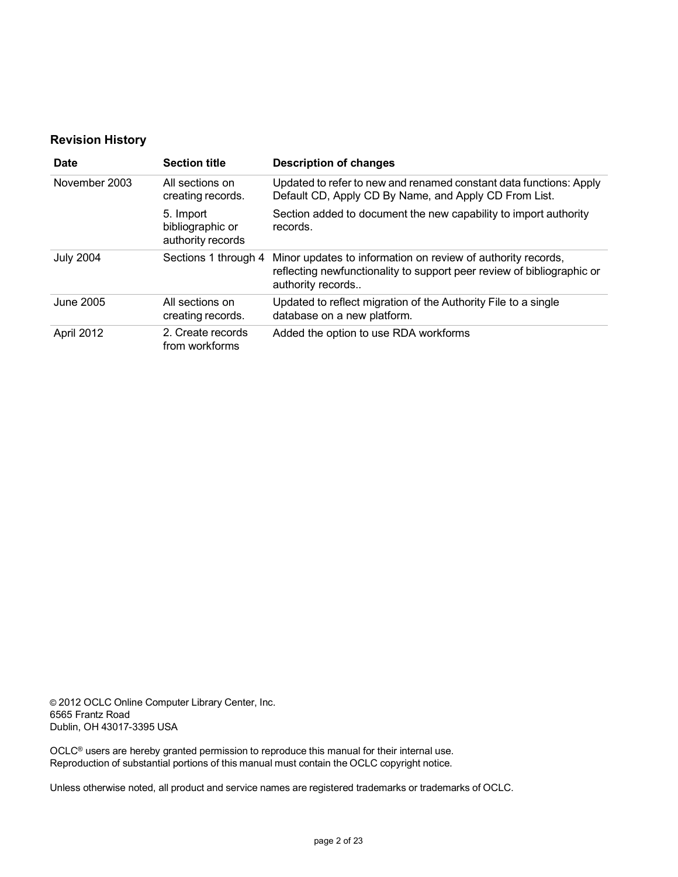#### **Revision History**

| Date             | <b>Section title</b>                               | <b>Description of changes</b>                                                                                                                               |  |
|------------------|----------------------------------------------------|-------------------------------------------------------------------------------------------------------------------------------------------------------------|--|
| November 2003    | All sections on<br>creating records.               | Updated to refer to new and renamed constant data functions: Apply<br>Default CD, Apply CD By Name, and Apply CD From List.                                 |  |
|                  | 5. Import<br>bibliographic or<br>authority records | Section added to document the new capability to import authority<br>records.                                                                                |  |
| <b>July 2004</b> | Sections 1 through 4                               | Minor updates to information on review of authority records,<br>reflecting newfunctionality to support peer review of bibliographic or<br>authority records |  |
| June 2005        | All sections on<br>creating records.               | Updated to reflect migration of the Authority File to a single<br>database on a new platform.                                                               |  |
| April 2012       | 2. Create records<br>from workforms                | Added the option to use RDA workforms                                                                                                                       |  |

© 2012 OCLC Online Computer Library Center, Inc. 6565 Frantz Road Dublin, OH 43017-3395 USA

OCLC® users are hereby granted permission to reproduce this manual for their internal use. Reproduction of substantial portions of this manual must contain the OCLC copyright notice.

Unless otherwise noted, all product and service names are registered trademarks or trademarks of OCLC.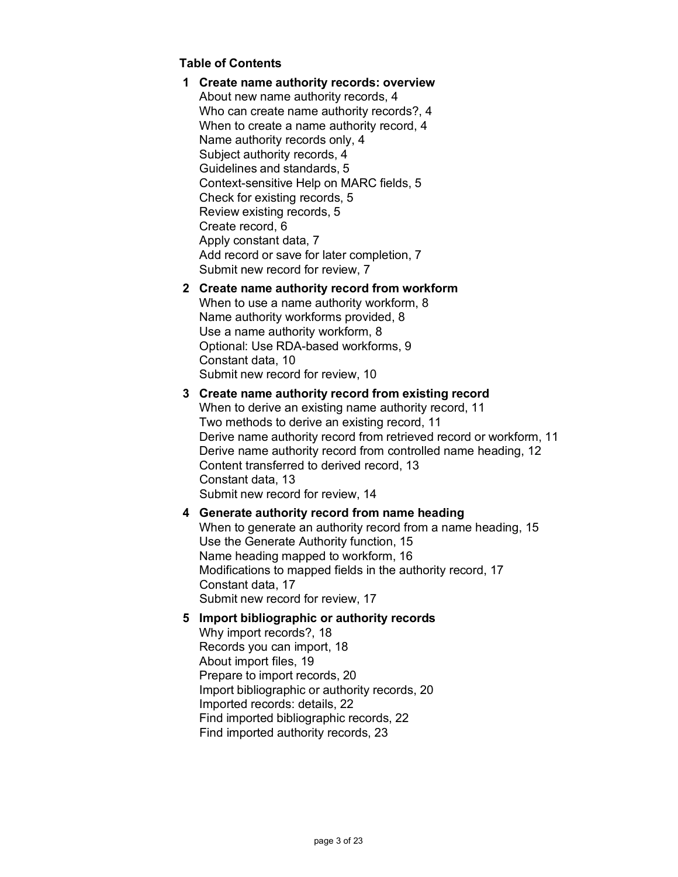#### **Table of Contents**

**1 Create name [authority](#page-3-0) records: overview** About new name [authority](#page-3-1) records, 4 Who can create name authority [records?,](#page-3-2) 4 [When to create a name authority record, 4](#page-3-3) Name [authority](#page-3-4) records only, 4 [Subject authority records, 4](#page-3-5) [Guidelines](#page-4-0) and standards, 5 [Context-sensitive](#page-4-1) Help on MARC fields, 5 Check [for existing records, 5](#page-4-2) Review existing [records,](#page-4-3) 5 Create [record,](#page-5-0) 6 Apply [constant](#page-6-0) data, 7 Add record or save for later [completion,](#page-6-1) 7 Submit new record for [review,](#page-6-2) 7

#### **2 Create name authority record from [workform](#page-7-0)**

[When to use a name authority workform, 8](#page-7-1) Name [authority workforms](#page-7-2) provided, 8 [Use a name authority workform, 8](#page-7-3) Optional: Use [RDA-based](#page-8-0) workforms, 9 [Constant](#page-9-0) data, 10 Submit new record for [review,](#page-9-1) 10

#### **3 Create name [authority](#page-10-0) record from existing record**

[When to derive an existing name authority record, 11](#page-10-1) Two [methods](#page-10-2) to derive an existing record, 11 Derive name authority record from retrieved record or [workform,](#page-10-3) 11 [Derive name authority record from controlled name heading, 12](#page-11-0) Content [transferred](#page-12-0) to derived record, 13 [Constant](#page-12-1) data, 13 Submit new record for [review,](#page-13-0) 14

#### **4 [Generate](#page-14-0) authority record from name heading**

When to [generate](#page-14-1) an authority record from a name heading, 15 Use [the Generate Authority](#page-14-2) function, 15 Name heading mapped to [workform,](#page-15-0) 16 [Modifications](#page-16-0) to mapped fields in the authority record, 17 [Constant](#page-16-1) data, 17 Submit new record for [review,](#page-16-2) 17

#### **5 Import [bibliographic](#page-17-0) or authority records**

[Why import records?, 18](#page-17-1) [Records you can import, 18](#page-17-2) About [import](#page-18-0) files, 19 Prepare to import [records,](#page-19-0) 20 Import [bibliographic](#page-19-1) or authority records, 20 Imported [records: details,](#page-21-0) 22 Find imported [bibliographic](#page-21-1) records, 22 Find [imported](#page-22-0) authority records, 23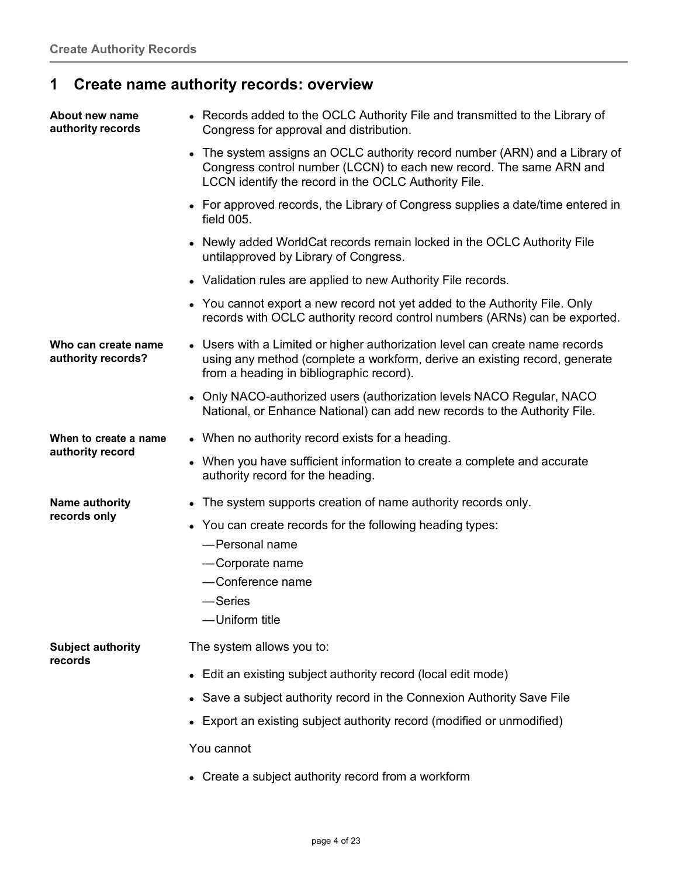## <span id="page-3-0"></span>**1 Create name authority records: overview**

<span id="page-3-5"></span><span id="page-3-4"></span><span id="page-3-3"></span><span id="page-3-2"></span><span id="page-3-1"></span>

| About new name<br>authority records       | • Records added to the OCLC Authority File and transmitted to the Library of<br>Congress for approval and distribution.                                                                                    |
|-------------------------------------------|------------------------------------------------------------------------------------------------------------------------------------------------------------------------------------------------------------|
|                                           | • The system assigns an OCLC authority record number (ARN) and a Library of<br>Congress control number (LCCN) to each new record. The same ARN and<br>LCCN identify the record in the OCLC Authority File. |
|                                           | • For approved records, the Library of Congress supplies a date/time entered in<br>field 005.                                                                                                              |
|                                           | • Newly added WorldCat records remain locked in the OCLC Authority File<br>untilapproved by Library of Congress.                                                                                           |
|                                           | • Validation rules are applied to new Authority File records.                                                                                                                                              |
|                                           | • You cannot export a new record not yet added to the Authority File. Only<br>records with OCLC authority record control numbers (ARNs) can be exported.                                                   |
| Who can create name<br>authority records? | • Users with a Limited or higher authorization level can create name records<br>using any method (complete a workform, derive an existing record, generate<br>from a heading in bibliographic record).     |
|                                           | • Only NACO-authorized users (authorization levels NACO Regular, NACO<br>National, or Enhance National) can add new records to the Authority File.                                                         |
| When to create a name                     | • When no authority record exists for a heading.                                                                                                                                                           |
| authority record                          | • When you have sufficient information to create a complete and accurate<br>authority record for the heading.                                                                                              |
| Name authority                            | The system supports creation of name authority records only.                                                                                                                                               |
| records only                              | • You can create records for the following heading types:                                                                                                                                                  |
|                                           | -Personal name                                                                                                                                                                                             |
|                                           | -Corporate name                                                                                                                                                                                            |
|                                           | -Conference name                                                                                                                                                                                           |
|                                           | -Series                                                                                                                                                                                                    |
|                                           | -Uniform title                                                                                                                                                                                             |
| <b>Subject authority</b><br>records       | The system allows you to:                                                                                                                                                                                  |
|                                           | • Edit an existing subject authority record (local edit mode)                                                                                                                                              |
|                                           | Save a subject authority record in the Connexion Authority Save File                                                                                                                                       |
|                                           | • Export an existing subject authority record (modified or unmodified)                                                                                                                                     |
|                                           | You cannot                                                                                                                                                                                                 |
|                                           | • Create a subject authority record from a workform                                                                                                                                                        |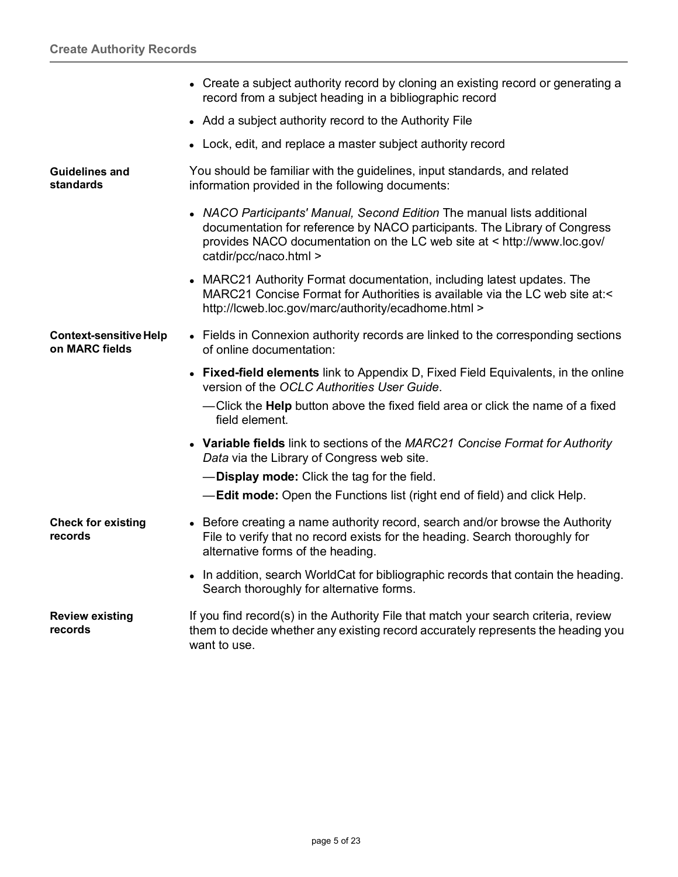<span id="page-4-3"></span><span id="page-4-2"></span><span id="page-4-1"></span><span id="page-4-0"></span>

|                                                 | • Create a subject authority record by cloning an existing record or generating a<br>record from a subject heading in a bibliographic record                                                                                                              |
|-------------------------------------------------|-----------------------------------------------------------------------------------------------------------------------------------------------------------------------------------------------------------------------------------------------------------|
|                                                 | • Add a subject authority record to the Authority File                                                                                                                                                                                                    |
|                                                 | • Lock, edit, and replace a master subject authority record                                                                                                                                                                                               |
| <b>Guidelines and</b><br>standards              | You should be familiar with the guidelines, input standards, and related<br>information provided in the following documents:                                                                                                                              |
|                                                 | • NACO Participants' Manual, Second Edition The manual lists additional<br>documentation for reference by NACO participants. The Library of Congress<br>provides NACO documentation on the LC web site at < http://www.loc.gov/<br>catdir/pcc/naco.html > |
|                                                 | MARC21 Authority Format documentation, including latest updates. The<br>$\bullet$<br>MARC21 Concise Format for Authorities is available via the LC web site at:<<br>http://lcweb.loc.gov/marc/authority/ecadhome.html >                                   |
| <b>Context-sensitive Help</b><br>on MARC fields | • Fields in Connexion authority records are linked to the corresponding sections<br>of online documentation:                                                                                                                                              |
|                                                 | • Fixed-field elements link to Appendix D, Fixed Field Equivalents, in the online<br>version of the OCLC Authorities User Guide.                                                                                                                          |
|                                                 | -Click the Help button above the fixed field area or click the name of a fixed<br>field element.                                                                                                                                                          |
|                                                 | • Variable fields link to sections of the MARC21 Concise Format for Authority<br>Data via the Library of Congress web site.                                                                                                                               |
|                                                 | -Display mode: Click the tag for the field.                                                                                                                                                                                                               |
|                                                 | <b>-Edit mode:</b> Open the Functions list (right end of field) and click Help.                                                                                                                                                                           |
| <b>Check for existing</b><br>records            | • Before creating a name authority record, search and/or browse the Authority<br>File to verify that no record exists for the heading. Search thoroughly for<br>alternative forms of the heading.                                                         |
|                                                 | • In addition, search WorldCat for bibliographic records that contain the heading.<br>Search thoroughly for alternative forms.                                                                                                                            |
| <b>Review existing</b><br>records               | If you find record(s) in the Authority File that match your search criteria, review<br>them to decide whether any existing record accurately represents the heading you<br>want to use.                                                                   |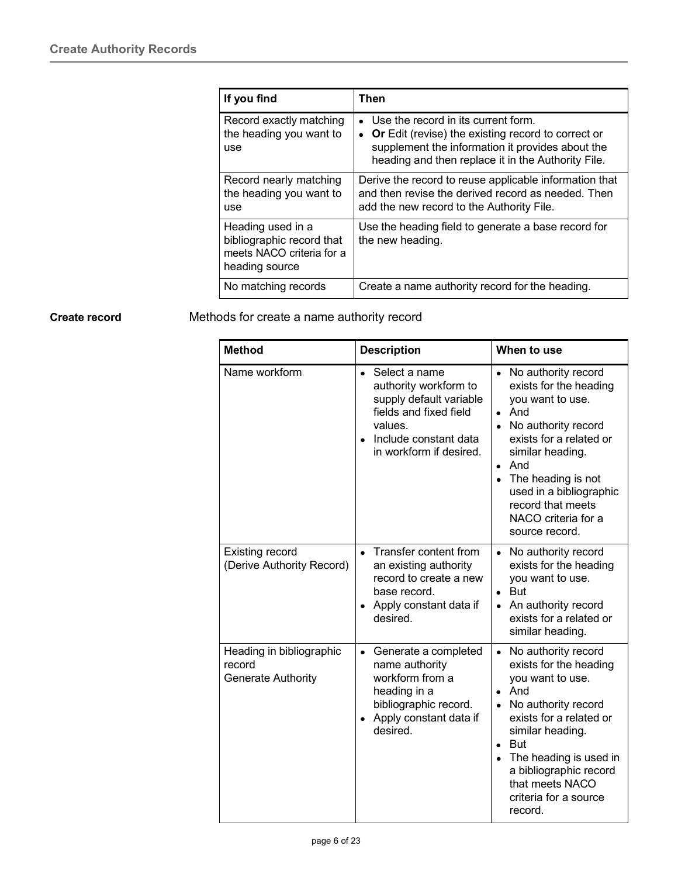| If you find                                                                                   | Then                                                                                                                                                                                                         |  |
|-----------------------------------------------------------------------------------------------|--------------------------------------------------------------------------------------------------------------------------------------------------------------------------------------------------------------|--|
| Record exactly matching<br>the heading you want to<br>use                                     | • Use the record in its current form.<br><b>Or</b> Edit (revise) the existing record to correct or<br>supplement the information it provides about the<br>heading and then replace it in the Authority File. |  |
| Record nearly matching<br>the heading you want to<br>use                                      | Derive the record to reuse applicable information that<br>and then revise the derived record as needed. Then<br>add the new record to the Authority File.                                                    |  |
| Heading used in a<br>bibliographic record that<br>meets NACO criteria for a<br>heading source | Use the heading field to generate a base record for<br>the new heading.                                                                                                                                      |  |
| No matching records                                                                           | Create a name authority record for the heading.                                                                                                                                                              |  |

<span id="page-5-0"></span>**Create record** Methods for create a name authority record

| <b>Method</b>                                                   | <b>Description</b>                                                                                                                                                      | When to use                                                                                                                                                                                                                                                                                                                 |  |
|-----------------------------------------------------------------|-------------------------------------------------------------------------------------------------------------------------------------------------------------------------|-----------------------------------------------------------------------------------------------------------------------------------------------------------------------------------------------------------------------------------------------------------------------------------------------------------------------------|--|
| Name workform                                                   | Select a name<br>$\bullet$<br>authority workform to<br>supply default variable<br>fields and fixed field<br>values.<br>Include constant data<br>in workform if desired. | • No authority record<br>exists for the heading<br>you want to use.<br>And<br>$\bullet$<br>• No authority record<br>exists for a related or<br>similar heading.<br>And<br>$\bullet$<br>The heading is not<br>used in a bibliographic<br>record that meets<br>NACO criteria for a<br>source record.                          |  |
| <b>Existing record</b><br>(Derive Authority Record)             | Transfer content from<br>$\bullet$<br>an existing authority<br>record to create a new<br>base record.<br>Apply constant data if<br>desired.                             | • No authority record<br>exists for the heading<br>you want to use.<br>$\bullet$ But<br>An authority record<br>$\bullet$<br>exists for a related or<br>similar heading.                                                                                                                                                     |  |
| Heading in bibliographic<br>record<br><b>Generate Authority</b> | Generate a completed<br>$\bullet$<br>name authority<br>workform from a<br>heading in a<br>bibliographic record.<br>Apply constant data if<br>$\bullet$<br>desired.      | No authority record<br>$\bullet$<br>exists for the heading<br>you want to use.<br>And<br>$\bullet$<br>No authority record<br>exists for a related or<br>similar heading.<br><b>But</b><br>$\bullet$<br>The heading is used in<br>$\bullet$<br>a bibliographic record<br>that meets NACO<br>criteria for a source<br>record. |  |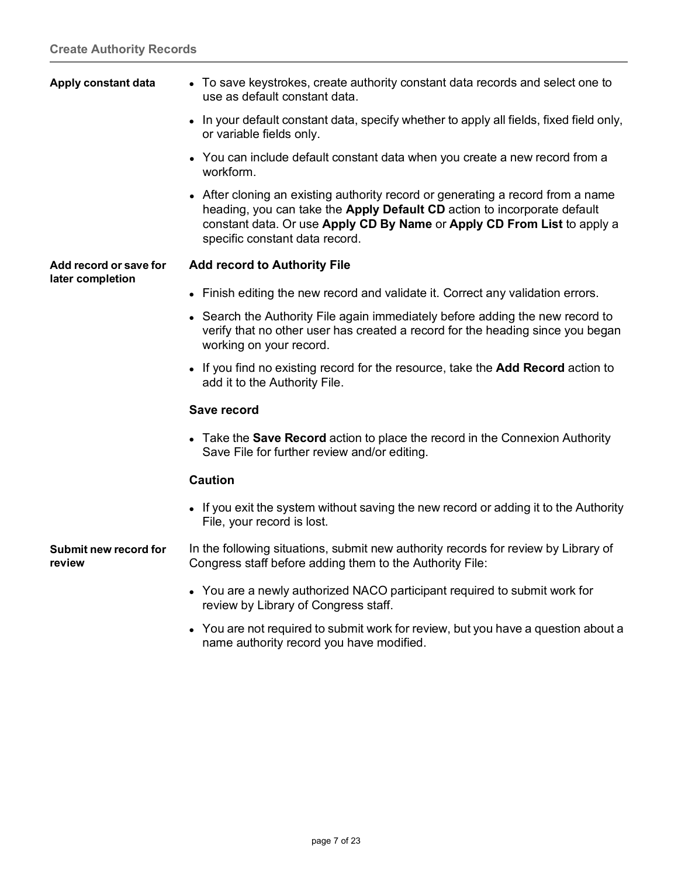<span id="page-6-2"></span><span id="page-6-1"></span><span id="page-6-0"></span>

| Apply constant data             | • To save keystrokes, create authority constant data records and select one to<br>use as default constant data.                                                                                                                                                          |  |  |
|---------------------------------|--------------------------------------------------------------------------------------------------------------------------------------------------------------------------------------------------------------------------------------------------------------------------|--|--|
|                                 | • In your default constant data, specify whether to apply all fields, fixed field only,<br>or variable fields only.                                                                                                                                                      |  |  |
|                                 | • You can include default constant data when you create a new record from a<br>workform.                                                                                                                                                                                 |  |  |
|                                 | • After cloning an existing authority record or generating a record from a name<br>heading, you can take the Apply Default CD action to incorporate default<br>constant data. Or use Apply CD By Name or Apply CD From List to apply a<br>specific constant data record. |  |  |
| Add record or save for          | <b>Add record to Authority File</b>                                                                                                                                                                                                                                      |  |  |
| later completion                | • Finish editing the new record and validate it. Correct any validation errors.                                                                                                                                                                                          |  |  |
|                                 | • Search the Authority File again immediately before adding the new record to<br>verify that no other user has created a record for the heading since you began<br>working on your record.                                                                               |  |  |
|                                 | • If you find no existing record for the resource, take the <b>Add Record</b> action to<br>add it to the Authority File.                                                                                                                                                 |  |  |
|                                 | Save record                                                                                                                                                                                                                                                              |  |  |
|                                 | • Take the <b>Save Record</b> action to place the record in the Connexion Authority<br>Save File for further review and/or editing.                                                                                                                                      |  |  |
|                                 | <b>Caution</b>                                                                                                                                                                                                                                                           |  |  |
|                                 | • If you exit the system without saving the new record or adding it to the Authority<br>File, your record is lost.                                                                                                                                                       |  |  |
| Submit new record for<br>review | In the following situations, submit new authority records for review by Library of<br>Congress staff before adding them to the Authority File:                                                                                                                           |  |  |
|                                 | • You are a newly authorized NACO participant required to submit work for<br>review by Library of Congress staff.                                                                                                                                                        |  |  |
|                                 | • You are not required to submit work for review, but you have a question about a<br>name authority record you have modified.                                                                                                                                            |  |  |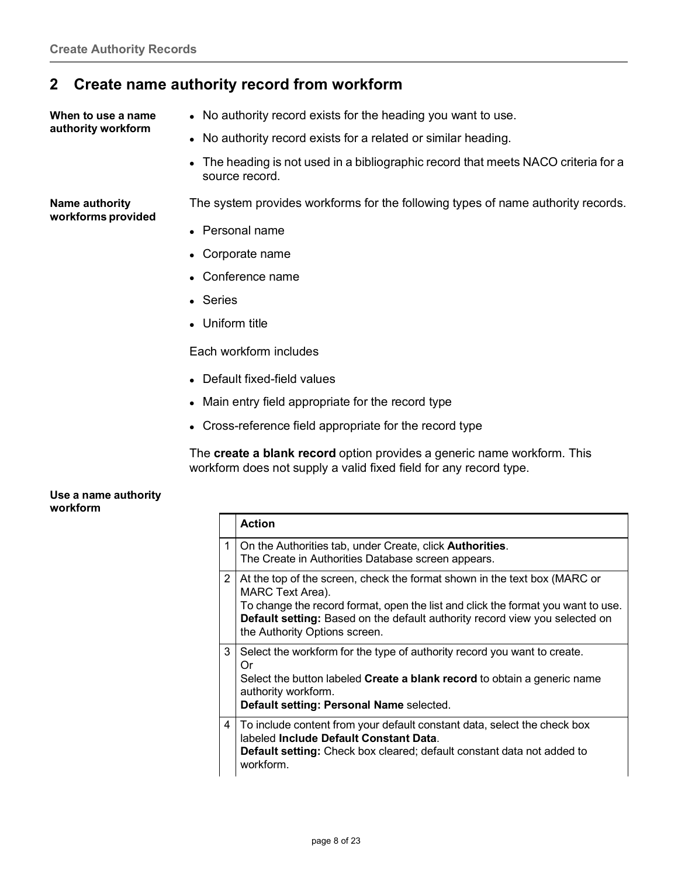#### <span id="page-7-0"></span>**2 Create name authority record from workform**

<span id="page-7-1"></span>**When to use a name authority workform**

- No authority record exists for the heading you want to use.
- No authority record exists for a related or similar heading.
- The heading is not used in a bibliographic record that meets NACO criteria for a source record.

<span id="page-7-2"></span>**Name authority workforms provided** The system provides workforms for the following types of name authority records.

- Personal name
- Corporate name
- Conference name
- Series
- Uniform title

Each workform includes

- Default fixed-field values
- Main entry field appropriate for the record type
- Cross-reference field appropriate for the record type

The **create a blank record** option provides a generic name workform. This workform does not supply a valid fixed field for any record type.

#### <span id="page-7-3"></span>**Use a name authority workform**

|                | <b>Action</b>                                                                                                                                                                                                                                                                                     |
|----------------|---------------------------------------------------------------------------------------------------------------------------------------------------------------------------------------------------------------------------------------------------------------------------------------------------|
| 1              | On the Authorities tab, under Create, click <b>Authorities</b> .<br>The Create in Authorities Database screen appears.                                                                                                                                                                            |
| $\overline{2}$ | At the top of the screen, check the format shown in the text box (MARC or<br>MARC Text Area).<br>To change the record format, open the list and click the format you want to use.<br>Default setting: Based on the default authority record view you selected on<br>the Authority Options screen. |
| 3              | Select the workform for the type of authority record you want to create.<br>Or<br>Select the button labeled Create a blank record to obtain a generic name<br>authority workform.<br>Default setting: Personal Name selected.                                                                     |
| 4              | To include content from your default constant data, select the check box<br>labeled Include Default Constant Data.<br><b>Default setting:</b> Check box cleared; default constant data not added to<br>workform.                                                                                  |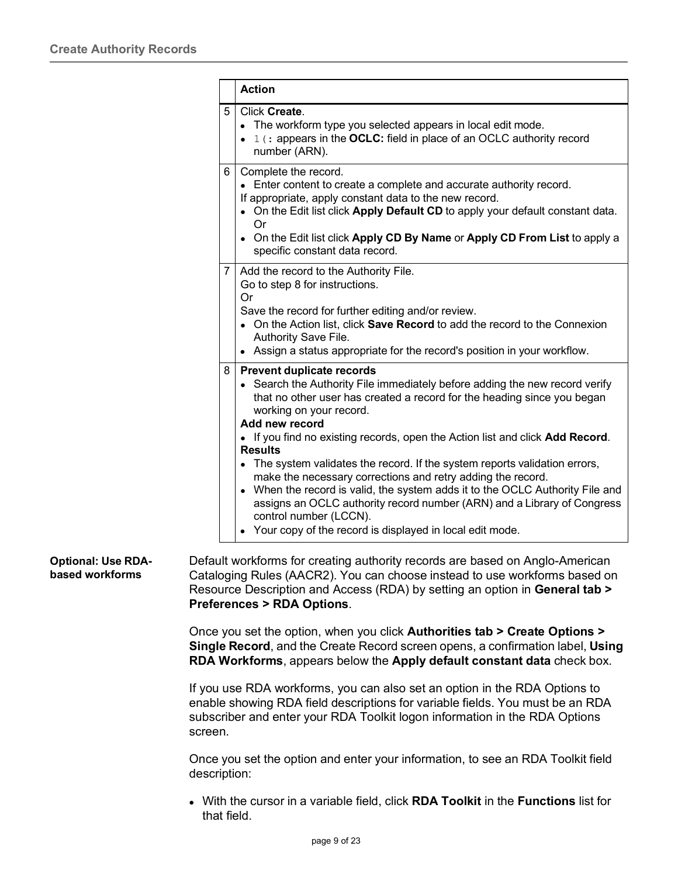|   | <b>Action</b>                                                                                                                                                                                                                                                                                                                                                                                                                                                                                                                                                                                                                                                                                                                                |
|---|----------------------------------------------------------------------------------------------------------------------------------------------------------------------------------------------------------------------------------------------------------------------------------------------------------------------------------------------------------------------------------------------------------------------------------------------------------------------------------------------------------------------------------------------------------------------------------------------------------------------------------------------------------------------------------------------------------------------------------------------|
| 5 | Click Create.<br>• The workform type you selected appears in local edit mode.<br>1 (: appears in the OCLC: field in place of an OCLC authority record<br>number (ARN).                                                                                                                                                                                                                                                                                                                                                                                                                                                                                                                                                                       |
| 6 | Complete the record.<br>• Enter content to create a complete and accurate authority record.<br>If appropriate, apply constant data to the new record.<br>• On the Edit list click Apply Default CD to apply your default constant data.<br>Or<br>• On the Edit list click Apply CD By Name or Apply CD From List to apply a<br>specific constant data record.                                                                                                                                                                                                                                                                                                                                                                                |
| 7 | Add the record to the Authority File.<br>Go to step 8 for instructions.<br>Or<br>Save the record for further editing and/or review.<br>• On the Action list, click Save Record to add the record to the Connexion<br>Authority Save File.<br>• Assign a status appropriate for the record's position in your workflow.                                                                                                                                                                                                                                                                                                                                                                                                                       |
| 8 | <b>Prevent duplicate records</b><br>• Search the Authority File immediately before adding the new record verify<br>that no other user has created a record for the heading since you began<br>working on your record.<br>Add new record<br>. If you find no existing records, open the Action list and click Add Record.<br><b>Results</b><br>• The system validates the record. If the system reports validation errors,<br>make the necessary corrections and retry adding the record.<br>• When the record is valid, the system adds it to the OCLC Authority File and<br>assigns an OCLC authority record number (ARN) and a Library of Congress<br>control number (LCCN).<br>• Your copy of the record is displayed in local edit mode. |

#### <span id="page-8-0"></span>**Optional: Use RDAbased workforms** Default workforms for creating authority records are based on Anglo-American Cataloging Rules (AACR2). You can choose instead to use workforms based on Resource Description and Access (RDA) by setting an option in **General tab > Preferences > RDA Options**.

Once you set the option, when you click **Authorities tab > Create Options > Single Record**, and the Create Record screen opens, a confirmation label, **Using RDA Workforms**, appears below the **Apply default constant data** check box.

If you use RDA workforms, you can also set an option in the RDA Options to enable showing RDA field descriptions for variable fields. You must be an RDA subscriber and enter your RDA Toolkit logon information in the RDA Options screen.

Once you set the option and enter your information, to see an RDA Toolkit field description:

 With the cursor in a variable field, click **RDA Toolkit** in the **Functions** list for that field.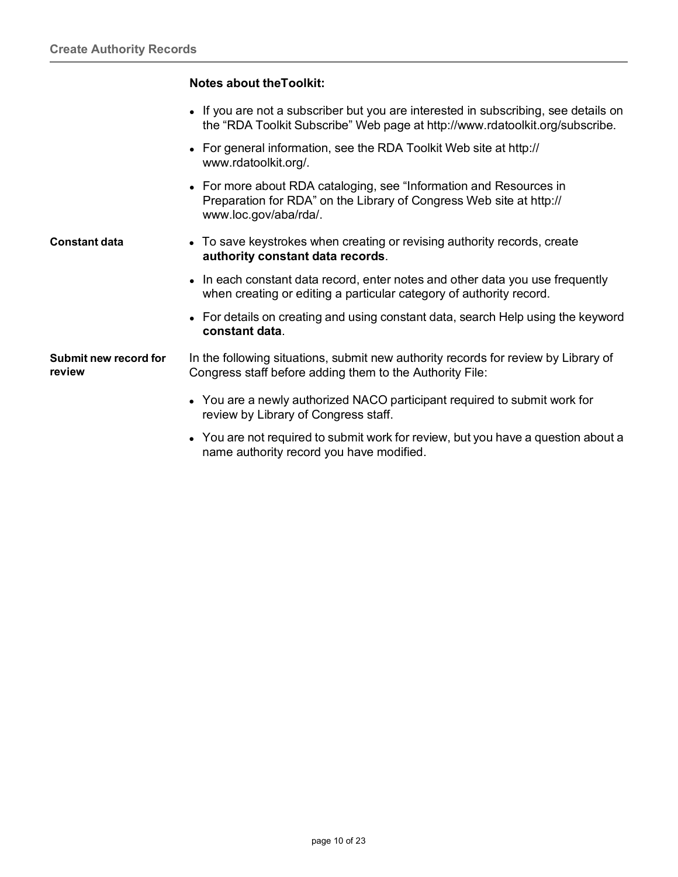#### **Notes about theToolkit:**

- If you are not a subscriber but you are interested in subscribing, see details on the "RDA Toolkit Subscribe" Web page at [http://www.rdatoolkit.org/subscribe.](http://www.rdatoolkit.org/subscribe)
- For general information, see the RDA Toolkit Web site at http:// [www.rdatoolkit.org/.](http://www.rdatoolkit.org/)
- For more about RDA cataloging, see "Information and Resources in Preparation for RDA" on the Library of Congress Web site at http:// [www.loc.gov/aba/rda/.](http://www.loc.gov/aba/rda/)
- <span id="page-9-0"></span>**Constant data •** To save keystrokes when creating or revising authority records, create **authority constant data records**.
	- In each constant data record, enter notes and other data you use frequently when creating or editing a particular category of authority record.
	- For details on creating and using constant data, search Help using the keyword **constant data**.

<span id="page-9-1"></span>**Submit new record for review** In the following situations, submit new authority records for review by Library of Congress staff before adding them to the Authority File:

- You are a newly authorized NACO participant required to submit work for review by Library of Congress staff.
- You are not required to submit work for review, but you have a question about a name authority record you have modified.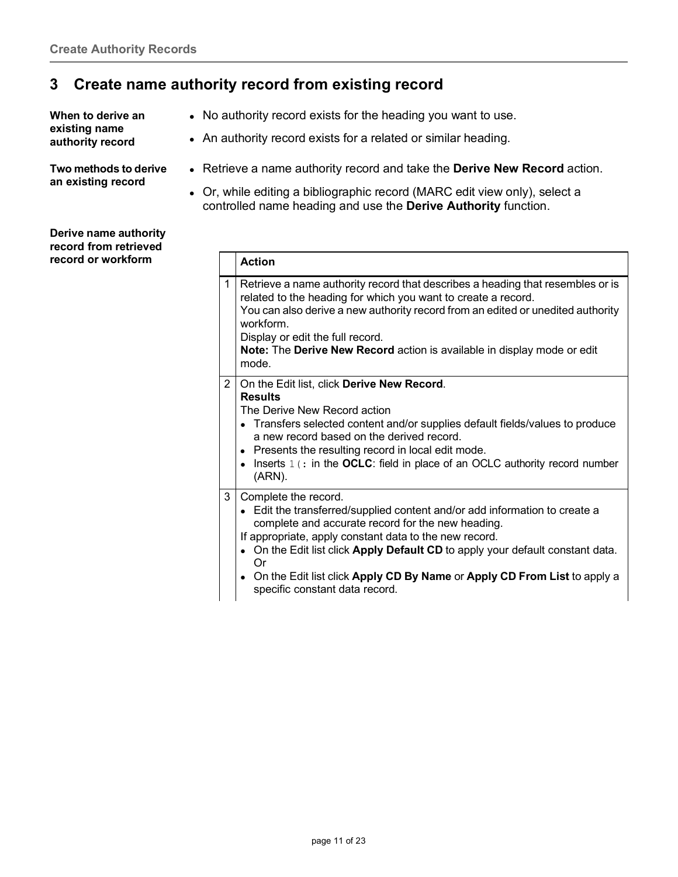#### <span id="page-10-0"></span>**3 Create name authority record from existing record**

<span id="page-10-1"></span>**When to derive an existing name authority record**

- No authority record exists for the heading you want to use.
- An authority record exists for a related or similar heading.

<span id="page-10-2"></span>**Two methods to derive an existing record**

- Retrieve a name authority record and take the **Derive New Record** action.
- Or, while editing a bibliographic record (MARC edit view only), select a controlled name heading and use the **Derive Authority** function.

|                | <b>Action</b>                                                                                                                                                                                                                                                                                                                                                                                                             |
|----------------|---------------------------------------------------------------------------------------------------------------------------------------------------------------------------------------------------------------------------------------------------------------------------------------------------------------------------------------------------------------------------------------------------------------------------|
| 1              | Retrieve a name authority record that describes a heading that resembles or is<br>related to the heading for which you want to create a record.<br>You can also derive a new authority record from an edited or unedited authority<br>workform.<br>Display or edit the full record.<br>Note: The Derive New Record action is available in display mode or edit<br>mode.                                                   |
| $\overline{2}$ | On the Edit list, click Derive New Record.<br><b>Results</b><br>The Derive New Record action<br>• Transfers selected content and/or supplies default fields/values to produce<br>a new record based on the derived record.<br>• Presents the resulting record in local edit mode.<br>Inserts 1 (: in the OCLC: field in place of an OCLC authority record number<br>(ARN).                                                |
| 3              | Complete the record.<br>• Edit the transferred/supplied content and/or add information to create a<br>complete and accurate record for the new heading.<br>If appropriate, apply constant data to the new record.<br>• On the Edit list click Apply Default CD to apply your default constant data.<br>Or<br>• On the Edit list click Apply CD By Name or Apply CD From List to apply a<br>specific constant data record. |

<span id="page-10-3"></span>**Derive name authority record from retrieved record** or workform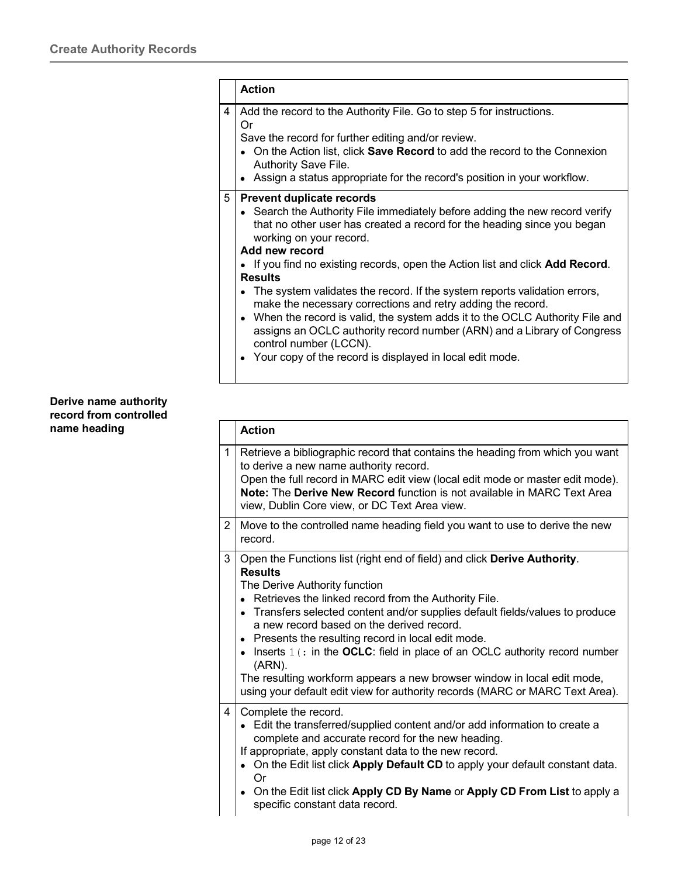|   | <b>Action</b>                                                                                                                                                                                                                                                                                                                                                                                                                                                                                                                                                                                                                                                                                                                                        |  |  |  |
|---|------------------------------------------------------------------------------------------------------------------------------------------------------------------------------------------------------------------------------------------------------------------------------------------------------------------------------------------------------------------------------------------------------------------------------------------------------------------------------------------------------------------------------------------------------------------------------------------------------------------------------------------------------------------------------------------------------------------------------------------------------|--|--|--|
| 4 | Add the record to the Authority File. Go to step 5 for instructions.<br>Or<br>Save the record for further editing and/or review.<br>• On the Action list, click Save Record to add the record to the Connexion<br>Authority Save File.<br>• Assign a status appropriate for the record's position in your workflow.                                                                                                                                                                                                                                                                                                                                                                                                                                  |  |  |  |
| 5 | <b>Prevent duplicate records</b><br>• Search the Authority File immediately before adding the new record verify<br>that no other user has created a record for the heading since you began<br>working on your record.<br>Add new record<br>• If you find no existing records, open the Action list and click <b>Add Record</b> .<br><b>Results</b><br>• The system validates the record. If the system reports validation errors,<br>make the necessary corrections and retry adding the record.<br>• When the record is valid, the system adds it to the OCLC Authority File and<br>assigns an OCLC authority record number (ARN) and a Library of Congress<br>control number (LCCN).<br>• Your copy of the record is displayed in local edit mode. |  |  |  |

#### <span id="page-11-0"></span>**Derive name authority record from controlled name** heading

|                | <b>Action</b>                                                                                                                                                                                                                                                                                                                                                                                                                                                                                                                                                                                                                      |
|----------------|------------------------------------------------------------------------------------------------------------------------------------------------------------------------------------------------------------------------------------------------------------------------------------------------------------------------------------------------------------------------------------------------------------------------------------------------------------------------------------------------------------------------------------------------------------------------------------------------------------------------------------|
| $\mathbf{1}$   | Retrieve a bibliographic record that contains the heading from which you want<br>to derive a new name authority record.<br>Open the full record in MARC edit view (local edit mode or master edit mode).<br>Note: The Derive New Record function is not available in MARC Text Area<br>view, Dublin Core view, or DC Text Area view.                                                                                                                                                                                                                                                                                               |
| $\overline{2}$ | Move to the controlled name heading field you want to use to derive the new<br>record.                                                                                                                                                                                                                                                                                                                                                                                                                                                                                                                                             |
| 3              | Open the Functions list (right end of field) and click Derive Authority.<br><b>Results</b><br>The Derive Authority function<br>• Retrieves the linked record from the Authority File.<br>• Transfers selected content and/or supplies default fields/values to produce<br>a new record based on the derived record.<br>• Presents the resulting record in local edit mode.<br>• Inserts $1$ (: in the OCLC: field in place of an OCLC authority record number<br>(ARN).<br>The resulting workform appears a new browser window in local edit mode,<br>using your default edit view for authority records (MARC or MARC Text Area). |
| 4              | Complete the record.<br>Edit the transferred/supplied content and/or add information to create a<br>complete and accurate record for the new heading.<br>If appropriate, apply constant data to the new record.<br>On the Edit list click Apply Default CD to apply your default constant data.<br>Or<br>• On the Edit list click Apply CD By Name or Apply CD From List to apply a<br>specific constant data record.                                                                                                                                                                                                              |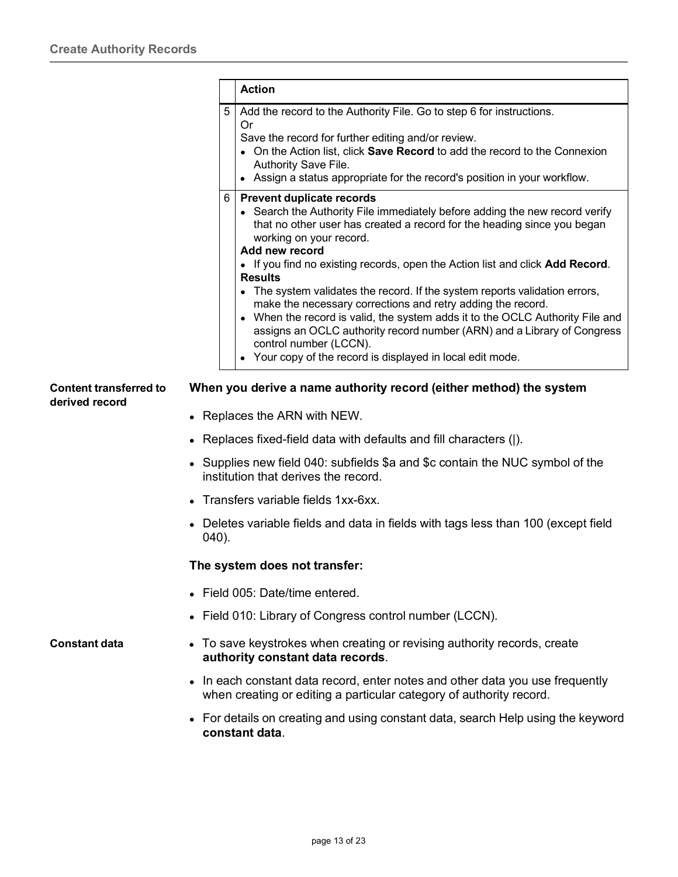<span id="page-12-0"></span>

|                                                 |        | <b>Action</b>                                                                                                                                                                                                                                                                                                                                                                                                                                                                                                                                                                                                                                                                                                                                |
|-------------------------------------------------|--------|----------------------------------------------------------------------------------------------------------------------------------------------------------------------------------------------------------------------------------------------------------------------------------------------------------------------------------------------------------------------------------------------------------------------------------------------------------------------------------------------------------------------------------------------------------------------------------------------------------------------------------------------------------------------------------------------------------------------------------------------|
|                                                 | 5      | Add the record to the Authority File. Go to step 6 for instructions.<br>Or<br>Save the record for further editing and/or review.<br>• On the Action list, click Save Record to add the record to the Connexion<br>Authority Save File.<br>• Assign a status appropriate for the record's position in your workflow.                                                                                                                                                                                                                                                                                                                                                                                                                          |
|                                                 | 6      | <b>Prevent duplicate records</b><br>• Search the Authority File immediately before adding the new record verify<br>that no other user has created a record for the heading since you began<br>working on your record.<br>Add new record<br>• If you find no existing records, open the Action list and click Add Record.<br><b>Results</b><br>• The system validates the record. If the system reports validation errors,<br>make the necessary corrections and retry adding the record.<br>• When the record is valid, the system adds it to the OCLC Authority File and<br>assigns an OCLC authority record number (ARN) and a Library of Congress<br>control number (LCCN).<br>• Your copy of the record is displayed in local edit mode. |
| <b>Content transferred to</b><br>derived record |        | When you derive a name authority record (either method) the system<br>Replaces the ARN with NEW.                                                                                                                                                                                                                                                                                                                                                                                                                                                                                                                                                                                                                                             |
|                                                 |        | Replaces fixed-field data with defaults and fill characters ( ).                                                                                                                                                                                                                                                                                                                                                                                                                                                                                                                                                                                                                                                                             |
|                                                 |        | • Supplies new field 040: subfields \$a and \$c contain the NUC symbol of the<br>institution that derives the record.                                                                                                                                                                                                                                                                                                                                                                                                                                                                                                                                                                                                                        |
|                                                 |        | • Transfers variable fields 1xx-6xx.                                                                                                                                                                                                                                                                                                                                                                                                                                                                                                                                                                                                                                                                                                         |
|                                                 | (040). | Deletes variable fields and data in fields with tags less than 100 (except field                                                                                                                                                                                                                                                                                                                                                                                                                                                                                                                                                                                                                                                             |
|                                                 |        | The system does not transfer:                                                                                                                                                                                                                                                                                                                                                                                                                                                                                                                                                                                                                                                                                                                |
|                                                 |        | • Field 005: Date/time entered.                                                                                                                                                                                                                                                                                                                                                                                                                                                                                                                                                                                                                                                                                                              |
|                                                 |        | • Field 010: Library of Congress control number (LCCN).                                                                                                                                                                                                                                                                                                                                                                                                                                                                                                                                                                                                                                                                                      |
| <b>Constant data</b>                            |        | • To save keystrokes when creating or revising authority records, create<br>authority constant data records.                                                                                                                                                                                                                                                                                                                                                                                                                                                                                                                                                                                                                                 |
|                                                 |        | • In each constant data record, enter notes and other data you use frequently<br>when creating or editing a particular category of authority record.                                                                                                                                                                                                                                                                                                                                                                                                                                                                                                                                                                                         |
|                                                 |        | For details on creating and using constant data, search Help using the keyword                                                                                                                                                                                                                                                                                                                                                                                                                                                                                                                                                                                                                                                               |

<span id="page-12-1"></span> For details on creating and using constant data, search Help using the keyword **constant data**.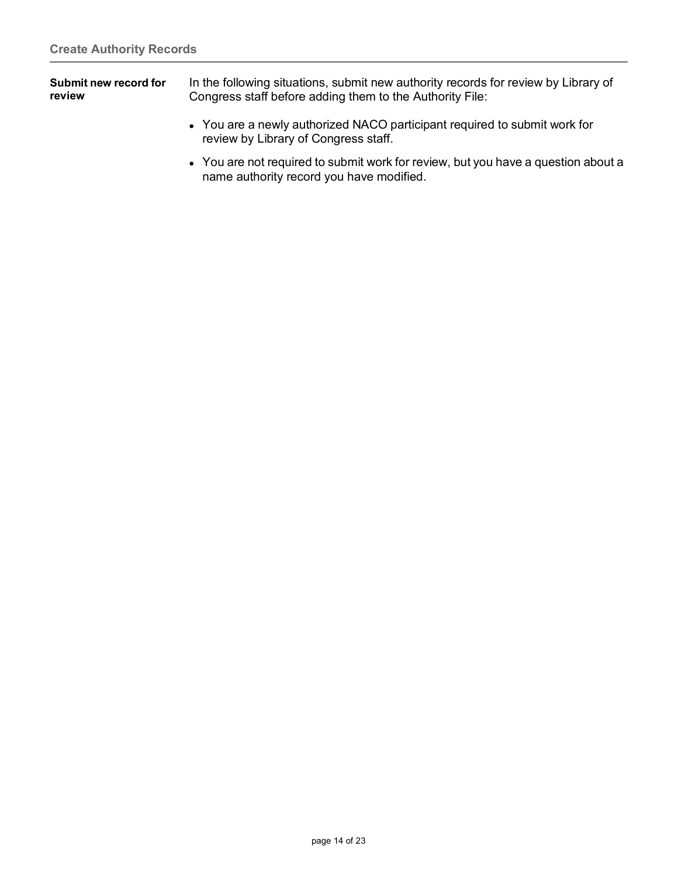<span id="page-13-0"></span>

| Submit new record for | In the following situations, submit new authority records for review by Library of |
|-----------------------|------------------------------------------------------------------------------------|
| review                | Congress staff before adding them to the Authority File:                           |

- You are a newly authorized NACO participant required to submit work for review by Library of Congress staff.
- You are not required to submit work for review, but you have a question about a name authority record you have modified.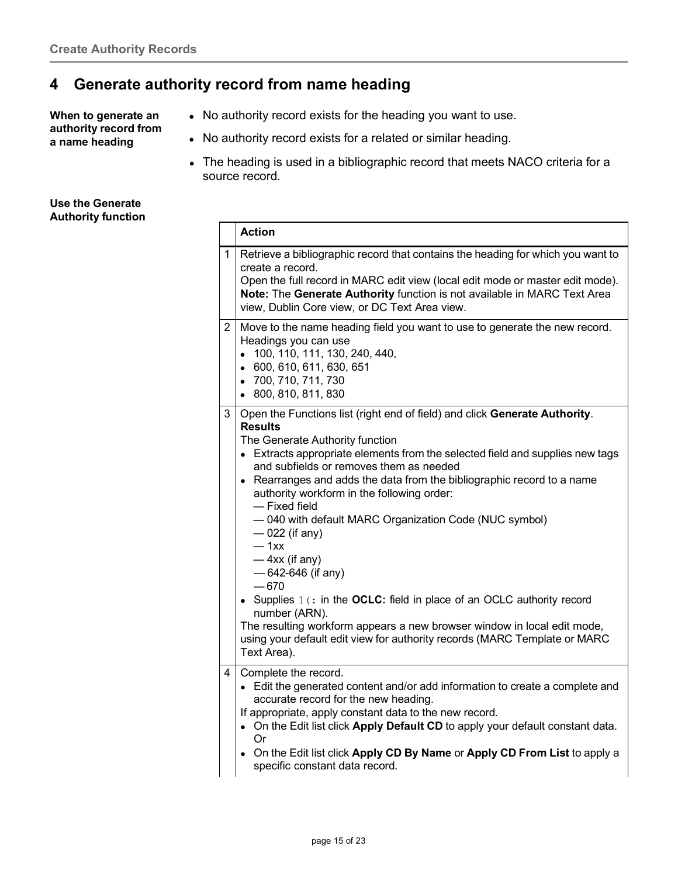## <span id="page-14-0"></span>**4 Generate authority record from name heading**

<span id="page-14-1"></span>**When to generate an authority record from a name heading**

- No authority record exists for the heading you want to use.
- No authority record exists for a related or similar heading.
- The heading is used in a bibliographic record that meets NACO criteria for a source record.

<span id="page-14-2"></span>

| Use the Generate          |  |  |
|---------------------------|--|--|
| <b>Authority function</b> |  |  |

|                       | <b>Action</b>                                                                                                                                                                                                                                                                                                                                                                                                                                                                                                                                                                                                                                                                                                                                                                                                       |
|-----------------------|---------------------------------------------------------------------------------------------------------------------------------------------------------------------------------------------------------------------------------------------------------------------------------------------------------------------------------------------------------------------------------------------------------------------------------------------------------------------------------------------------------------------------------------------------------------------------------------------------------------------------------------------------------------------------------------------------------------------------------------------------------------------------------------------------------------------|
| $\mathbf{1}$          | Retrieve a bibliographic record that contains the heading for which you want to<br>create a record.<br>Open the full record in MARC edit view (local edit mode or master edit mode).<br>Note: The Generate Authority function is not available in MARC Text Area<br>view, Dublin Core view, or DC Text Area view.                                                                                                                                                                                                                                                                                                                                                                                                                                                                                                   |
| $\mathbf{2}^{\prime}$ | Move to the name heading field you want to use to generate the new record.<br>Headings you can use<br>• 100, 110, 111, 130, 240, 440,<br>• 600, 610, 611, 630, 651<br>• 700, 710, 711, 730<br>• 800, 810, 811, 830                                                                                                                                                                                                                                                                                                                                                                                                                                                                                                                                                                                                  |
| 3                     | Open the Functions list (right end of field) and click Generate Authority.<br><b>Results</b><br>The Generate Authority function<br>• Extracts appropriate elements from the selected field and supplies new tags<br>and subfields or removes them as needed<br>• Rearranges and adds the data from the bibliographic record to a name<br>authority workform in the following order:<br>- Fixed field<br>-040 with default MARC Organization Code (NUC symbol)<br>$-022$ (if any)<br>$-1xx$<br>$-4xx$ (if any)<br>$-642-646$ (if any)<br>$-670$<br>• Supplies $1$ (: in the OCLC: field in place of an OCLC authority record<br>number (ARN).<br>The resulting workform appears a new browser window in local edit mode,<br>using your default edit view for authority records (MARC Template or MARC<br>Text Area). |
| 4                     | Complete the record.<br>• Edit the generated content and/or add information to create a complete and<br>accurate record for the new heading.<br>If appropriate, apply constant data to the new record.<br>• On the Edit list click Apply Default CD to apply your default constant data.<br>Or<br>• On the Edit list click Apply CD By Name or Apply CD From List to apply a<br>specific constant data record.                                                                                                                                                                                                                                                                                                                                                                                                      |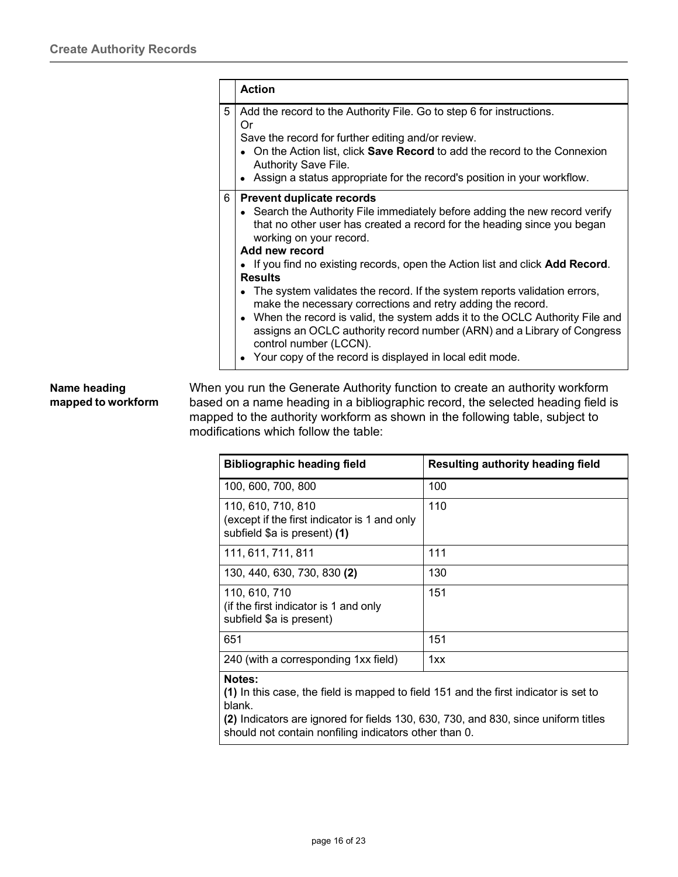|   | <b>Action</b>                                                                                                                                                                                                                                                                                                                                                                                  |
|---|------------------------------------------------------------------------------------------------------------------------------------------------------------------------------------------------------------------------------------------------------------------------------------------------------------------------------------------------------------------------------------------------|
| 5 | Add the record to the Authority File. Go to step 6 for instructions.<br>Or<br>Save the record for further editing and/or review.<br>• On the Action list, click <b>Save Record</b> to add the record to the Connexion<br>Authority Save File.<br>• Assign a status appropriate for the record's position in your workflow.                                                                     |
| 6 | <b>Prevent duplicate records</b><br>• Search the Authority File immediately before adding the new record verify<br>that no other user has created a record for the heading since you began<br>working on your record.<br>Add new record<br>• If you find no existing records, open the Action list and click Add Record.<br><b>Results</b>                                                     |
|   | • The system validates the record. If the system reports validation errors,<br>make the necessary corrections and retry adding the record.<br>• When the record is valid, the system adds it to the OCLC Authority File and<br>assigns an OCLC authority record number (ARN) and a Library of Congress<br>control number (LCCN).<br>• Your copy of the record is displayed in local edit mode. |

#### <span id="page-15-0"></span>**Name heading mapped to workform**

When you run the Generate Authority function to create an authority workform based on a name heading in a bibliographic record, the selected heading field is mapped to the authority workform as shown in the following table, subject to modifications which follow the table:

| <b>Bibliographic heading field</b>                                                                 | Resulting authority heading field |
|----------------------------------------------------------------------------------------------------|-----------------------------------|
| 100, 600, 700, 800                                                                                 | 100                               |
| 110, 610, 710, 810<br>(except if the first indicator is 1 and only<br>subfield \$a is present) (1) | 110                               |
| 111, 611, 711, 811                                                                                 | 111                               |
| 130, 440, 630, 730, 830 (2)                                                                        | 130                               |
| 110, 610, 710<br>(if the first indicator is 1 and only<br>subfield \$a is present)                 | 151                               |
| 651                                                                                                | 151                               |
| 240 (with a corresponding 1xx field)                                                               | 1xx                               |
| Notes:                                                                                             |                                   |

**(1)** In this case, the field is mapped to field 151 and the first indicator is set to blank.

**(2)** Indicators are ignored for fields 130, 630, 730, and 830, since uniform titles should not contain nonfiling indicators other than 0.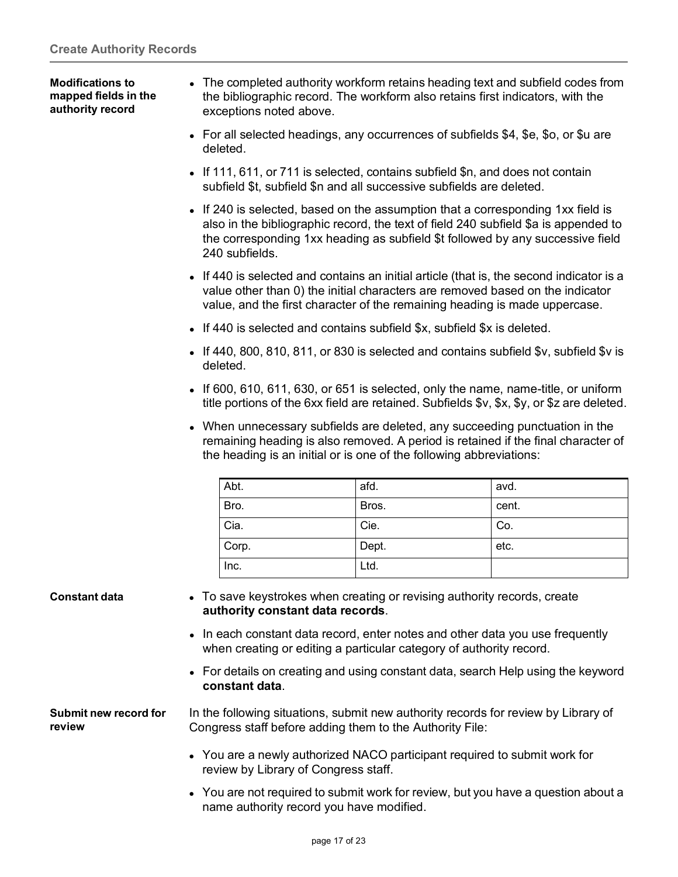<span id="page-16-0"></span>**Modifications to mapped fields in the authority record** The completed authority workform retains heading text and subfield codes from the bibliographic record. The workform also retains first indicators, with the exceptions noted above.

- For all selected headings, any occurrences of subfields \$4, \$e, \$o, or \$u are deleted.
- If 111, 611, or 711 is selected, contains subfield \$n, and does not contain subfield \$t, subfield \$n and all successive subfields are deleted.
- If 240 is selected, based on the assumption that a corresponding 1xx field is also in the bibliographic record, the text of field 240 subfield \$a is appended to the corresponding 1xx heading as subfield \$t followed by any successive field 240 subfields.
- If 440 is selected and contains an initial article (that is, the second indicator is a value other than 0) the initial characters are removed based on the indicator value, and the first character of the remaining heading is made uppercase.
- If 440 is selected and contains subfield  $x$ , subfield  $x$  is deleted.
- If 440, 800, 810, 811, or 830 is selected and contains subfield  $y$ , subfield  $y$  is deleted.
- If 600, 610, 611, 630, or 651 is selected, only the name, name-title, or uniform title portions of the 6xx field are retained. Subfields \$v, \$x, \$y, or \$z are deleted.
- When unnecessary subfields are deleted, any succeeding punctuation in the remaining heading is also removed. A period is retained if the final character of the heading is an initial or is one of the following abbreviations:

| Abt.  | afd.  | avd.  |
|-------|-------|-------|
| Bro.  | Bros. | cent. |
| Cia.  | Cie.  | Co.   |
| Corp. | Dept. | etc.  |
| Inc.  | Ltd.  |       |

- <span id="page-16-1"></span>**Constant data •** To save keystrokes when creating or revising authority records, create **authority constant data records**.
	- In each constant data record, enter notes and other data you use frequently when creating or editing a particular category of authority record.
	- For details on creating and using constant data, search Help using the keyword **constant data**.

<span id="page-16-2"></span>**Submit new record for review**

In the following situations, submit new authority records for review by Library of Congress staff before adding them to the Authority File:

- You are a newly authorized NACO participant required to submit work for review by Library of Congress staff.
- You are not required to submit work for review, but you have a question about a name authority record you have modified.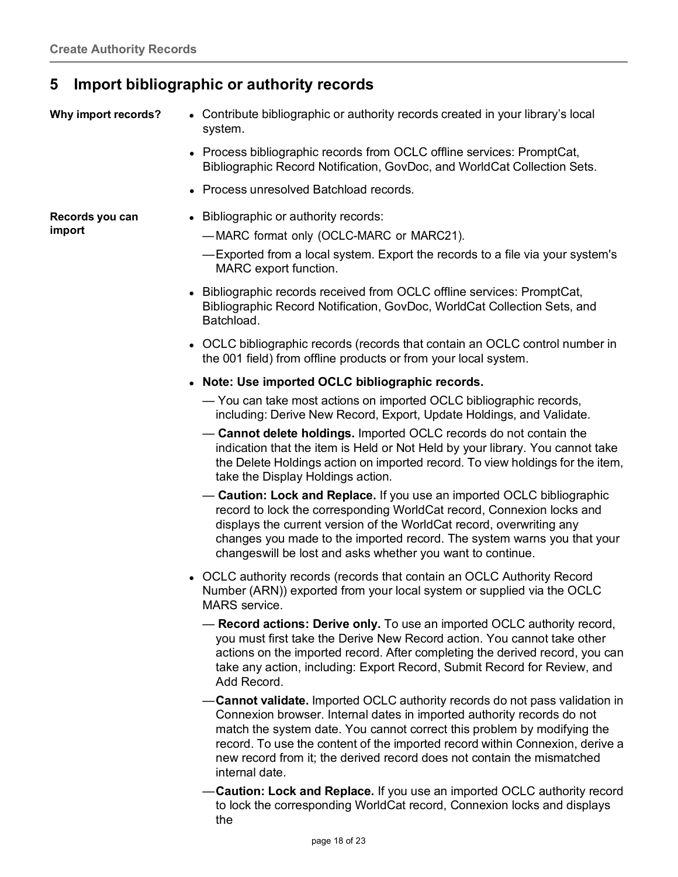## <span id="page-17-0"></span>**5 Import bibliographic or authority records**

<span id="page-17-1"></span>

- Why **import records?** . Contribute bibliographic or authority records created in your library's local system.
	- Process bibliographic records from OCLC offline services: PromptCat, Bibliographic Record Notification, GovDoc, and WorldCat Collection Sets.
	- Process unresolved Batchload records.

<span id="page-17-2"></span>**Records you can import**

- Bibliographic or authority records:
	- —MARC format only (OCLC-MARC or MARC21).
	- —Exported from a local system. Export the records to a file via your system's MARC export function.
- Bibliographic records received from OCLC offline services: PromptCat, Bibliographic Record Notification, GovDoc, WorldCat Collection Sets, and Batchload.
- OCLC bibliographic records (records that contain an OCLC control number in the 001 field) from offline products or from your local system.
- **Note: Use imported OCLC bibliographic records.**
	- You can take most actions on imported OCLC bibliographic records, including: Derive New Record, Export, Update Holdings, and Validate.
	- **Cannot delete holdings.** Imported OCLC records do not contain the indication that the item is Held or Not Held by your library. You cannot take the Delete Holdings action on imported record. To view holdings for the item, take the Display Holdings action.
	- **Caution: Lock and Replace.** If you use an imported OCLC bibliographic record to lock the corresponding WorldCat record, Connexion locks and displays the current version of the WorldCat record, overwriting any changes you made to the imported record. The system warns you that your changeswill be lost and asks whether you want to continue.
- OCLC authority records (records that contain an OCLC Authority Record Number (ARN)) exported from your local system or supplied via the OCLC MARS service.
	- **Record actions: Derive only.** To use an imported OCLC authority record, you must first take the Derive New Record action. You cannot take other actions on the imported record. After completing the derived record, you can take any action, including: Export Record, Submit Record for Review, and Add Record.
	- —**Cannot validate.** Imported OCLC authority records do not pass validation in Connexion browser. Internal dates in imported authority records do not match the system date. You cannot correct this problem by modifying the record. To use the content of the imported record within Connexion, derive a new record from it; the derived record does not contain the mismatched internal date.
	- —**Caution: Lock and Replace.** If you use an imported OCLC authority record to lock the corresponding WorldCat record, Connexion locks and displays the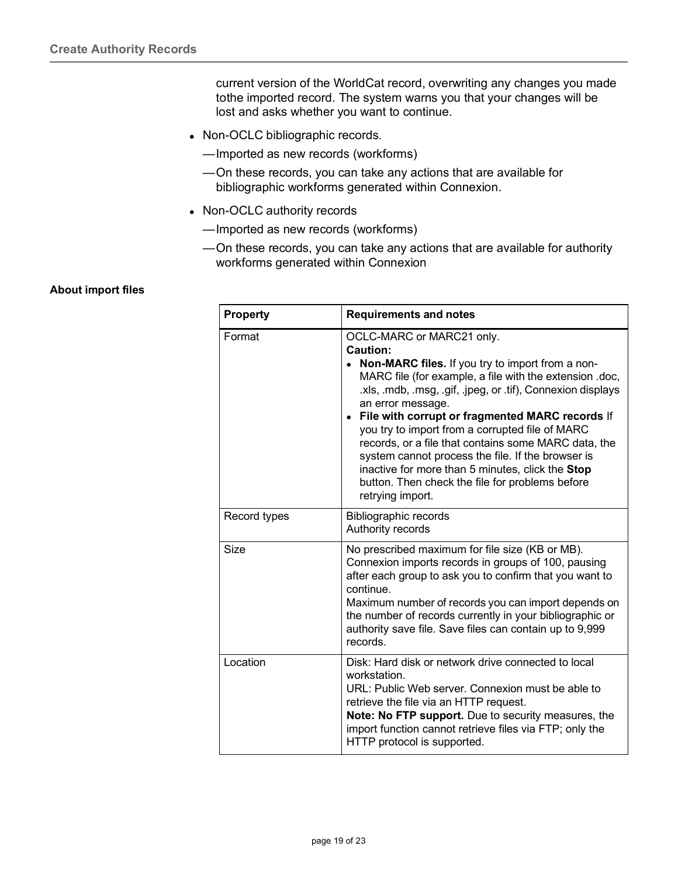current version of the WorldCat record, overwriting any changes you made tothe imported record. The system warns you that your changes will be lost and asks whether you want to continue.

- Non-OCLC bibliographic records.
	- —Imported as new records (workforms)
	- —On these records, you can take any actions that are available for bibliographic workforms generated within Connexion.
- Non-OCLC authority records
	- —Imported as new records (workforms)
	- —On these records, you can take any actions that are available for authority workforms generated within Connexion

#### <span id="page-18-0"></span>**About import files**

| <b>Property</b> | <b>Requirements and notes</b>                                                                                                                                                                                                                                                                                                                                                                                                                                                                                                                                                                     |
|-----------------|---------------------------------------------------------------------------------------------------------------------------------------------------------------------------------------------------------------------------------------------------------------------------------------------------------------------------------------------------------------------------------------------------------------------------------------------------------------------------------------------------------------------------------------------------------------------------------------------------|
| Format          | OCLC-MARC or MARC21 only.<br><b>Caution:</b><br>• Non-MARC files. If you try to import from a non-<br>MARC file (for example, a file with the extension .doc,<br>.xls, .mdb, .msg, .gif, .jpeg, or .tif), Connexion displays<br>an error message.<br>• File with corrupt or fragmented MARC records If<br>you try to import from a corrupted file of MARC<br>records, or a file that contains some MARC data, the<br>system cannot process the file. If the browser is<br>inactive for more than 5 minutes, click the Stop<br>button. Then check the file for problems before<br>retrying import. |
| Record types    | <b>Bibliographic records</b><br>Authority records                                                                                                                                                                                                                                                                                                                                                                                                                                                                                                                                                 |
| Size            | No prescribed maximum for file size (KB or MB).<br>Connexion imports records in groups of 100, pausing<br>after each group to ask you to confirm that you want to<br>continue.<br>Maximum number of records you can import depends on<br>the number of records currently in your bibliographic or<br>authority save file. Save files can contain up to 9,999<br>records.                                                                                                                                                                                                                          |
| Location        | Disk: Hard disk or network drive connected to local<br>workstation.<br>URL: Public Web server. Connexion must be able to<br>retrieve the file via an HTTP request.<br>Note: No FTP support. Due to security measures, the<br>import function cannot retrieve files via FTP; only the<br>HTTP protocol is supported.                                                                                                                                                                                                                                                                               |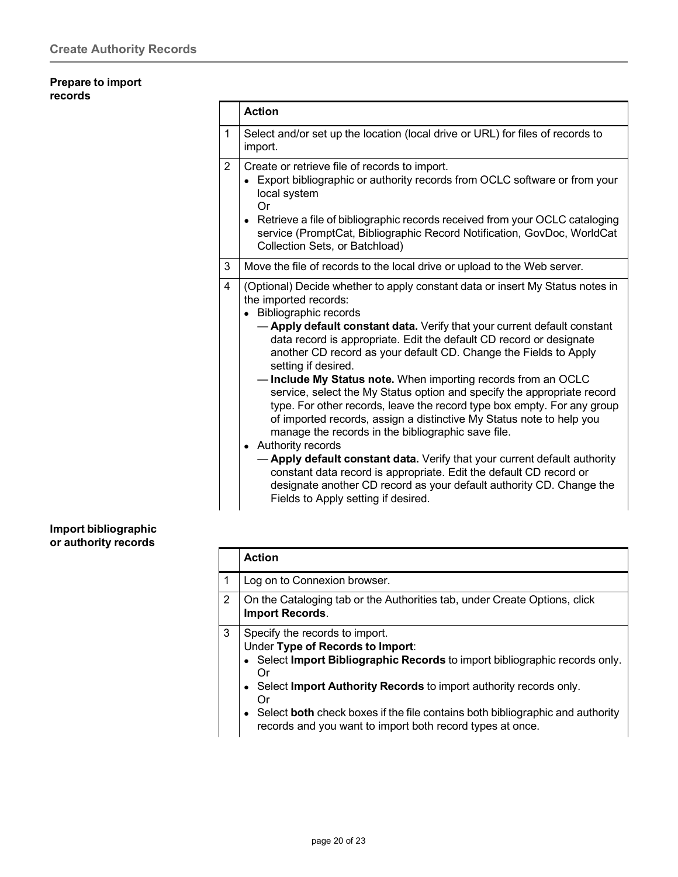#### <span id="page-19-0"></span>**Prepare to import records**

|                | <b>Action</b>                                                                                                                                                                                                                                                                                                                                                        |
|----------------|----------------------------------------------------------------------------------------------------------------------------------------------------------------------------------------------------------------------------------------------------------------------------------------------------------------------------------------------------------------------|
| 1              | Select and/or set up the location (local drive or URL) for files of records to<br>import.                                                                                                                                                                                                                                                                            |
| $\overline{2}$ | Create or retrieve file of records to import.<br>Export bibliographic or authority records from OCLC software or from your<br>local system<br>Or                                                                                                                                                                                                                     |
|                | • Retrieve a file of bibliographic records received from your OCLC cataloging<br>service (PromptCat, Bibliographic Record Notification, GovDoc, WorldCat<br>Collection Sets, or Batchload)                                                                                                                                                                           |
| 3              | Move the file of records to the local drive or upload to the Web server.                                                                                                                                                                                                                                                                                             |
| 4              | (Optional) Decide whether to apply constant data or insert My Status notes in<br>the imported records:<br>Bibliographic records<br>- Apply default constant data. Verify that your current default constant                                                                                                                                                          |
|                | data record is appropriate. Edit the default CD record or designate<br>another CD record as your default CD. Change the Fields to Apply<br>setting if desired.                                                                                                                                                                                                       |
|                | Include My Status note. When importing records from an OCLC<br>service, select the My Status option and specify the appropriate record<br>type. For other records, leave the record type box empty. For any group<br>of imported records, assign a distinctive My Status note to help you<br>manage the records in the bibliographic save file.<br>Authority records |
|                | - Apply default constant data. Verify that your current default authority<br>constant data record is appropriate. Edit the default CD record or<br>designate another CD record as your default authority CD. Change the<br>Fields to Apply setting if desired.                                                                                                       |

#### <span id="page-19-1"></span>**Import bibliographic or authority records**

|   | <b>Action</b>                                                                                                                                                                                                                                                                                                                                                                                 |
|---|-----------------------------------------------------------------------------------------------------------------------------------------------------------------------------------------------------------------------------------------------------------------------------------------------------------------------------------------------------------------------------------------------|
|   | Log on to Connexion browser.                                                                                                                                                                                                                                                                                                                                                                  |
| 2 | On the Cataloging tab or the Authorities tab, under Create Options, click<br><b>Import Records.</b>                                                                                                                                                                                                                                                                                           |
| 3 | Specify the records to import.<br>Under Type of Records to Import:<br>• Select Import Bibliographic Records to import bibliographic records only.<br>Or<br>Select Import Authority Records to import authority records only.<br>$\bullet$<br>Or<br>Select both check boxes if the file contains both bibliographic and authority<br>records and you want to import both record types at once. |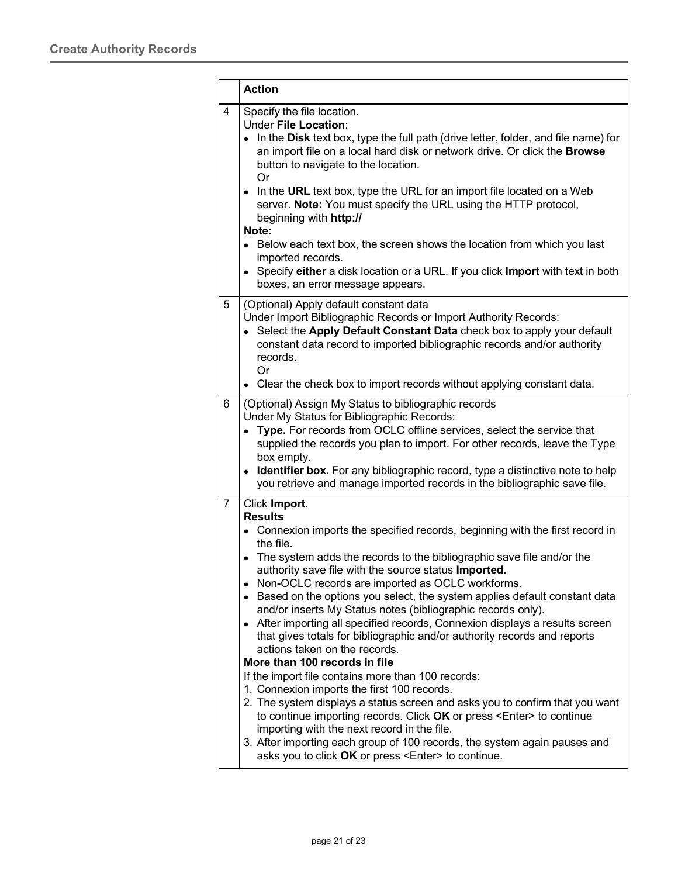|                | <b>Action</b>                                                                                                                                                                                                                                                                                                                                                                                                                                                                                                                                                                                                                                                                                                                                                                                                                                                                                                                                                                                                                                                                                                                                                     |  |  |
|----------------|-------------------------------------------------------------------------------------------------------------------------------------------------------------------------------------------------------------------------------------------------------------------------------------------------------------------------------------------------------------------------------------------------------------------------------------------------------------------------------------------------------------------------------------------------------------------------------------------------------------------------------------------------------------------------------------------------------------------------------------------------------------------------------------------------------------------------------------------------------------------------------------------------------------------------------------------------------------------------------------------------------------------------------------------------------------------------------------------------------------------------------------------------------------------|--|--|
| $\overline{4}$ | Specify the file location.<br><b>Under File Location:</b><br>In the Disk text box, type the full path (drive letter, folder, and file name) for<br>an import file on a local hard disk or network drive. Or click the Browse<br>button to navigate to the location.<br>Or<br>• In the URL text box, type the URL for an import file located on a Web<br>server. Note: You must specify the URL using the HTTP protocol,<br>beginning with http://<br>Note:<br>• Below each text box, the screen shows the location from which you last                                                                                                                                                                                                                                                                                                                                                                                                                                                                                                                                                                                                                            |  |  |
|                | imported records.<br>Specify either a disk location or a URL. If you click Import with text in both<br>boxes, an error message appears.                                                                                                                                                                                                                                                                                                                                                                                                                                                                                                                                                                                                                                                                                                                                                                                                                                                                                                                                                                                                                           |  |  |
| 5              | (Optional) Apply default constant data<br>Under Import Bibliographic Records or Import Authority Records:<br>• Select the Apply Default Constant Data check box to apply your default<br>constant data record to imported bibliographic records and/or authority<br>records.<br>Or<br>Clear the check box to import records without applying constant data.                                                                                                                                                                                                                                                                                                                                                                                                                                                                                                                                                                                                                                                                                                                                                                                                       |  |  |
| 6              | (Optional) Assign My Status to bibliographic records<br>Under My Status for Bibliographic Records:<br>Type. For records from OCLC offline services, select the service that<br>supplied the records you plan to import. For other records, leave the Type<br>box empty.<br>• Identifier box. For any bibliographic record, type a distinctive note to help<br>you retrieve and manage imported records in the bibliographic save file.                                                                                                                                                                                                                                                                                                                                                                                                                                                                                                                                                                                                                                                                                                                            |  |  |
| 7              | Click Import.<br><b>Results</b><br>• Connexion imports the specified records, beginning with the first record in<br>the file.<br>• The system adds the records to the bibliographic save file and/or the<br>authority save file with the source status Imported.<br>Non-OCLC records are imported as OCLC workforms.<br>Based on the options you select, the system applies default constant data<br>and/or inserts My Status notes (bibliographic records only).<br>• After importing all specified records, Connexion displays a results screen<br>that gives totals for bibliographic and/or authority records and reports<br>actions taken on the records.<br>More than 100 records in file<br>If the import file contains more than 100 records:<br>1. Connexion imports the first 100 records.<br>2. The system displays a status screen and asks you to confirm that you want<br>to continue importing records. Click OK or press <enter> to continue<br/>importing with the next record in the file.<br/>3. After importing each group of 100 records, the system again pauses and<br/>asks you to click OK or press <enter> to continue.</enter></enter> |  |  |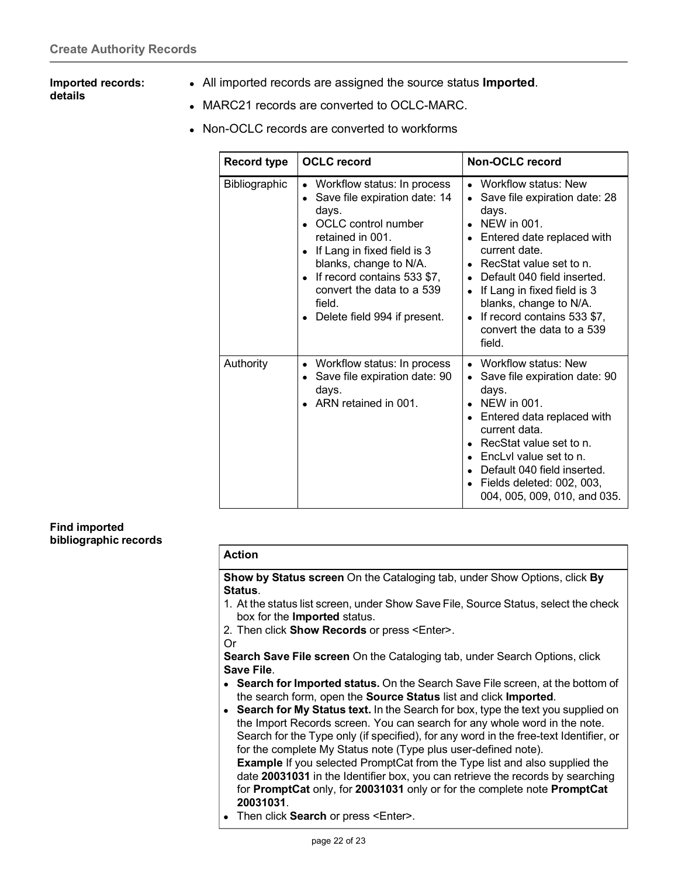#### <span id="page-21-0"></span>**Imported records: details**

- All imported records are assigned the source status **Imported**.
- MARC21 records are converted to OCLC-MARC.
- Non-OCLC records are converted to workforms

| <b>Record type</b> | <b>OCLC</b> record                                                                                                                                                                                                                                                                                    | <b>Non-OCLC record</b>                                                                                                                                                                                                                                                                                                             |
|--------------------|-------------------------------------------------------------------------------------------------------------------------------------------------------------------------------------------------------------------------------------------------------------------------------------------------------|------------------------------------------------------------------------------------------------------------------------------------------------------------------------------------------------------------------------------------------------------------------------------------------------------------------------------------|
| Bibliographic      | • Workflow status: In process<br>Save file expiration date: 14<br>days.<br><b>OCLC</b> control number<br>retained in 001.<br>If Lang in fixed field is 3<br>blanks, change to N/A.<br>If record contains 533 \$7,<br>$\bullet$<br>convert the data to a 539<br>field.<br>Delete field 994 if present. | Workflow status: New<br>Save file expiration date: 28<br>days.<br>NEW in 001.<br>Entered date replaced with<br>$\bullet$<br>current date.<br>RecStat value set to n.<br>Default 040 field inserted.<br>If Lang in fixed field is 3<br>blanks, change to N/A.<br>If record contains 533 \$7,<br>convert the data to a 539<br>field. |
| Authority          | Workflow status: In process<br>Save file expiration date: 90<br>days.<br>ARN retained in 001.                                                                                                                                                                                                         | • Workflow status: New<br>Save file expiration date: 90<br>days.<br>NEW in 001.<br>Entered data replaced with<br>current data.<br>RecStat value set to n.<br>EncLyl value set to n.<br>Default 040 field inserted.<br>Fields deleted: 002, 003,<br>004, 005, 009, 010, and 035.                                                    |

#### <span id="page-21-1"></span>**Find imported bibliographic records**

#### **Action**

**Show by Status screen** On the Cataloging tab, under Show Options, click **By Status**.

- 1. At the status list screen, under Show Save File, Source Status, select the check box for the **Imported** status.
- 2. Then click **Show Records** or press <Enter>.
- Or

**Search Save File screen** On the Cataloging tab, under Search Options, click **Save File**.

- **Search for Imported status.** On the Search Save File screen, at the bottom of the search form, open the **Source Status** list and click **Imported**.
- **Search for My Status text.** In the Search for box, type the text you supplied on the Import Records screen. You can search for any whole word in the note. Search for the Type only (if specified), for any word in the free-text Identifier, or for the complete My Status note (Type plus user-defined note). **Example** If you selected PromptCat from the Type list and also supplied the date **20031031** in the Identifier box, you can retrieve the records by searching for **PromptCat** only, for **20031031** only or for the complete note **PromptCat**
- **20031031**. Then click **Search** or press <Enter>.
	- page 22 of 23